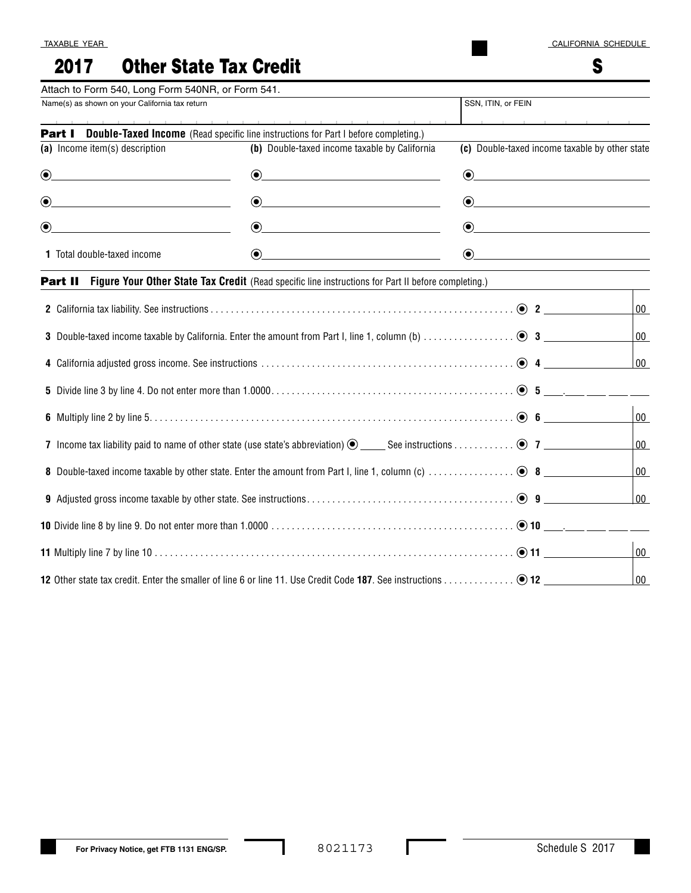S

# 2017 Other State Tax Credit

| Attach to Form 540, Long Form 540NR, or Form 541.                                                                                   |                                                                                                                                                                                                                                                                                                                                                                        |                                                                                                                                                                                                                                                                                                                                                                    |        |
|-------------------------------------------------------------------------------------------------------------------------------------|------------------------------------------------------------------------------------------------------------------------------------------------------------------------------------------------------------------------------------------------------------------------------------------------------------------------------------------------------------------------|--------------------------------------------------------------------------------------------------------------------------------------------------------------------------------------------------------------------------------------------------------------------------------------------------------------------------------------------------------------------|--------|
| Name(s) as shown on your California tax return                                                                                      |                                                                                                                                                                                                                                                                                                                                                                        | SSN, ITIN, or FEIN                                                                                                                                                                                                                                                                                                                                                 |        |
|                                                                                                                                     | <b>Part I</b> Double-Taxed Income (Read specific line instructions for Part I before completing.)                                                                                                                                                                                                                                                                      | the contract of the contract of the con-                                                                                                                                                                                                                                                                                                                           |        |
| (a) Income item(s) description                                                                                                      | (b) Double-taxed income taxable by California                                                                                                                                                                                                                                                                                                                          | (c) Double-taxed income taxable by other state                                                                                                                                                                                                                                                                                                                     |        |
| $\odot$<br><u> 1980 - Johann Barn, mars an t-Amerikaansk politiker (</u>                                                            | $\begin{picture}(20,20)(-10,0) \put(0,0){\vector(1,0){10}} \put(15,0){\vector(1,0){10}} \put(15,0){\vector(1,0){10}} \put(15,0){\vector(1,0){10}} \put(15,0){\vector(1,0){10}} \put(15,0){\vector(1,0){10}} \put(15,0){\vector(1,0){10}} \put(15,0){\vector(1,0){10}} \put(15,0){\vector(1,0){10}} \put(15,0){\vector(1,0){10}} \put(15,0){\vector(1,0){10}} \put(15,$ |                                                                                                                                                                                                                                                                                                                                                                    |        |
| $\odot$<br><u> 1980 - Johann Barbara, martin da basar a shekara 1980 - An tsara 1980 - An tsara 1980 - An tsara 1980 - An tsa</u>   | $\begin{picture}(20,20)(-10,0) \put(0,0){\vector(1,0){10}} \put(15,0){\vector(1,0){10}} \put(15,0){\vector(1,0){10}} \put(15,0){\vector(1,0){10}} \put(15,0){\vector(1,0){10}} \put(15,0){\vector(1,0){10}} \put(15,0){\vector(1,0){10}} \put(15,0){\vector(1,0){10}} \put(15,0){\vector(1,0){10}} \put(15,0){\vector(1,0){10}} \put(15,0){\vector(1,0){10}} \put(15,$ |                                                                                                                                                                                                                                                                                                                                                                    |        |
| $\bigcirc$<br><u> 1989 - Johann Barbara, martin a bhann an t-Alban an t-Alban an t-Alban an t-Alban an t-Alban an t-Alban an t-</u> | $\odot$ and the contract of $\odot$                                                                                                                                                                                                                                                                                                                                    | $\odot$ and the set of $\odot$                                                                                                                                                                                                                                                                                                                                     |        |
| 1 Total double-taxed income                                                                                                         | $\begin{picture}(20,20)(-0,0) \put(0,0){\vector(1,0){10}} \put(15,0){\vector(1,0){10}} \put(15,0){\vector(1,0){10}} \put(15,0){\vector(1,0){10}} \put(15,0){\vector(1,0){10}} \put(15,0){\vector(1,0){10}} \put(15,0){\vector(1,0){10}} \put(15,0){\vector(1,0){10}} \put(15,0){\vector(1,0){10}} \put(15,0){\vector(1,0){10}} \put(15,0){\vector(1,0){10}} \put(15,0$ | $\begin{picture}(20,20)(-0,0) \put(0,0){\vector(1,0){100}} \put(15,0){\vector(1,0){100}} \put(15,0){\vector(1,0){100}} \put(15,0){\vector(1,0){100}} \put(15,0){\vector(1,0){100}} \put(15,0){\vector(1,0){100}} \put(15,0){\vector(1,0){100}} \put(15,0){\vector(1,0){100}} \put(15,0){\vector(1,0){100}} \put(15,0){\vector(1,0){100}} \put(15,0){\vector(1,0){$ |        |
|                                                                                                                                     | <b>Part II</b> Figure Your Other State Tax Credit (Read specific line instructions for Part II before completing.)                                                                                                                                                                                                                                                     |                                                                                                                                                                                                                                                                                                                                                                    |        |
|                                                                                                                                     |                                                                                                                                                                                                                                                                                                                                                                        |                                                                                                                                                                                                                                                                                                                                                                    | $00\,$ |
|                                                                                                                                     |                                                                                                                                                                                                                                                                                                                                                                        |                                                                                                                                                                                                                                                                                                                                                                    | $00\,$ |
|                                                                                                                                     |                                                                                                                                                                                                                                                                                                                                                                        |                                                                                                                                                                                                                                                                                                                                                                    | $00\,$ |
|                                                                                                                                     |                                                                                                                                                                                                                                                                                                                                                                        |                                                                                                                                                                                                                                                                                                                                                                    |        |
|                                                                                                                                     |                                                                                                                                                                                                                                                                                                                                                                        |                                                                                                                                                                                                                                                                                                                                                                    | 00     |
|                                                                                                                                     |                                                                                                                                                                                                                                                                                                                                                                        |                                                                                                                                                                                                                                                                                                                                                                    | $00\,$ |
|                                                                                                                                     |                                                                                                                                                                                                                                                                                                                                                                        |                                                                                                                                                                                                                                                                                                                                                                    | $00\,$ |
|                                                                                                                                     |                                                                                                                                                                                                                                                                                                                                                                        |                                                                                                                                                                                                                                                                                                                                                                    | $00\,$ |
|                                                                                                                                     |                                                                                                                                                                                                                                                                                                                                                                        |                                                                                                                                                                                                                                                                                                                                                                    |        |
|                                                                                                                                     |                                                                                                                                                                                                                                                                                                                                                                        |                                                                                                                                                                                                                                                                                                                                                                    | 00     |
|                                                                                                                                     |                                                                                                                                                                                                                                                                                                                                                                        |                                                                                                                                                                                                                                                                                                                                                                    | $00\,$ |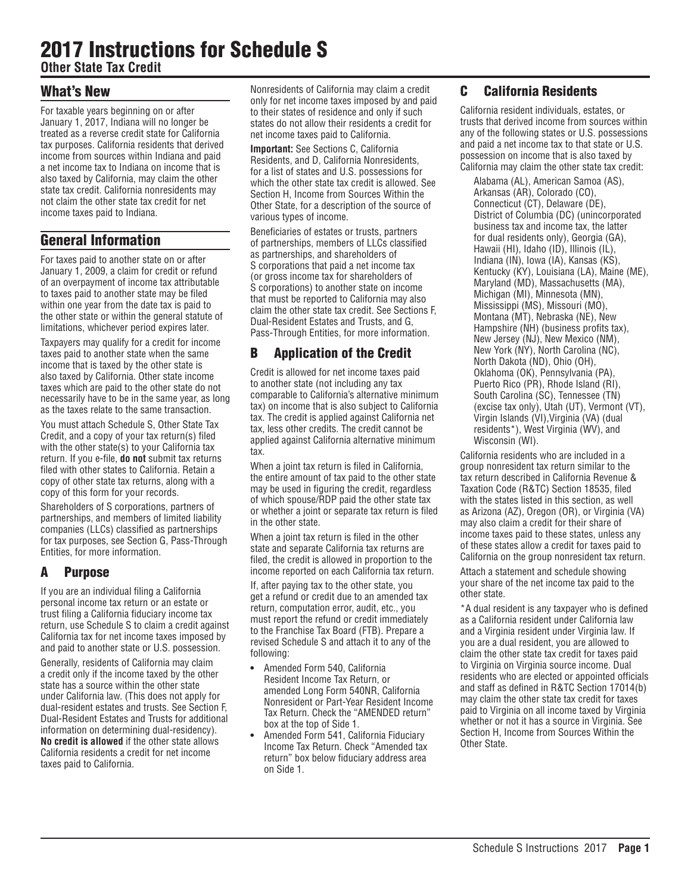# 2017 Instructions for Schedule S

**Other State Tax Credit**

## What's New

For taxable years beginning on or after January 1, 2017, Indiana will no longer be treated as a reverse credit state for California tax purposes. California residents that derived income from sources within Indiana and paid a net income tax to Indiana on income that is also taxed by California, may claim the other state tax credit. California nonresidents may not claim the other state tax credit for net income taxes paid to Indiana.

# General Information

For taxes paid to another state on or after January 1, 2009, a claim for credit or refund of an overpayment of income tax attributable to taxes paid to another state may be filed within one year from the date tax is paid to the other state or within the general statute of limitations, whichever period expires later.

Taxpayers may qualify for a credit for income taxes paid to another state when the same income that is taxed by the other state is also taxed by California. Other state income taxes which are paid to the other state do not necessarily have to be in the same year, as long as the taxes relate to the same transaction.

You must attach Schedule S, Other State Tax Credit, and a copy of your tax return(s) filed with the other state(s) to your California tax return. If you e-file, **do not** submit tax returns filed with other states to California. Retain a copy of other state tax returns, along with a copy of this form for your records.

Shareholders of S corporations, partners of partnerships, and members of limited liability companies (LLCs) classified as partnerships for tax purposes, see Section G, Pass-Through Entities, for more information.

# A Purpose

If you are an individual filing a California personal income tax return or an estate or trust filing a California fiduciary income tax return, use Schedule S to claim a credit against California tax for net income taxes imposed by and paid to another state or U.S. possession.

Generally, residents of California may claim a credit only if the income taxed by the other state has a source within the other state under California law. (This does not apply for dual-resident estates and trusts. See Section F, Dual-Resident Estates and Trusts for additional information on determining dual-residency). **No credit is allowed** if the other state allows California residents a credit for net income taxes paid to California.

Nonresidents of California may claim a credit only for net income taxes imposed by and paid to their states of residence and only if such states do not allow their residents a credit for net income taxes paid to California.

**Important:** See Sections C, California Residents, and D, California Nonresidents, for a list of states and U.S. possessions for which the other state tax credit is allowed. See Section H, Income from Sources Within the Other State, for a description of the source of various types of income.

Beneficiaries of estates or trusts, partners of partnerships, members of LLCs classified as partnerships, and shareholders of S corporations that paid a net income tax (or gross income tax for shareholders of S corporations) to another state on income that must be reported to California may also claim the other state tax credit. See Sections F, Dual-Resident Estates and Trusts, and G, Pass-Through Entities, for more information.

# B Application of the Credit

Credit is allowed for net income taxes paid to another state (not including any tax comparable to California's alternative minimum tax) on income that is also subject to California tax. The credit is applied against California net tax, less other credits. The credit cannot be applied against California alternative minimum tax.

When a joint tax return is filed in California, the entire amount of tax paid to the other state may be used in figuring the credit, regardless of which spouse/RDP paid the other state tax or whether a joint or separate tax return is filed in the other state.

When a joint tax return is filed in the other state and separate California tax returns are filed, the credit is allowed in proportion to the income reported on each California tax return.

If, after paying tax to the other state, you get a refund or credit due to an amended tax return, computation error, audit, etc., you must report the refund or credit immediately to the Franchise Tax Board (FTB). Prepare a revised Schedule S and attach it to any of the following:

- **•** Amended Form 540, California Resident Income Tax Return, or amended Long Form 540NR, California Nonresident or Part-Year Resident Income Tax Return. Check the "AMENDED return" box at the top of Side 1.
- **•** Amended Form 541, California Fiduciary Income Tax Return. Check "Amended tax return" box below fiduciary address area on Side 1.

## C California Residents

California resident individuals, estates, or trusts that derived income from sources within any of the following states or U.S. possessions and paid a net income tax to that state or U.S. possession on income that is also taxed by California may claim the other state tax credit:

Alabama (AL), American Samoa (AS), Arkansas (AR), Colorado (CO), Connecticut (CT), Delaware (DE), District of Columbia (DC) (unincorporated business tax and income tax, the latter for dual residents only), Georgia (GA), Hawaii (HI), Idaho (ID), Illinois (IL), Indiana (IN), Iowa (IA), Kansas (KS), Kentucky (KY), Louisiana (LA), Maine (ME), Maryland (MD), Massachusetts (MA), Michigan (MI), Minnesota (MN), Mississippi (MS), Missouri (MO), Montana (MT), Nebraska (NE), New Hampshire (NH) (business profits tax), New Jersey (NJ), New Mexico (NM), New York (NY), North Carolina (NC), North Dakota (ND), Ohio (OH), Oklahoma (OK), Pennsylvania (PA), Puerto Rico (PR), Rhode Island (RI), South Carolina (SC), Tennessee (TN) (excise tax only), Utah (UT), Vermont (VT), Virgin Islands (VI),Virginia (VA) (dual residents\*), West Virginia (WV), and Wisconsin (WI).

California residents who are included in a group nonresident tax return similar to the tax return described in California Revenue & Taxation Code (R&TC) Section 18535, filed with the states listed in this section, as well as Arizona (AZ), Oregon (OR), or Virginia (VA) may also claim a credit for their share of income taxes paid to these states, unless any of these states allow a credit for taxes paid to California on the group nonresident tax return.

Attach a statement and schedule showing your share of the net income tax paid to the other state.

\*A dual resident is any taxpayer who is defined as a California resident under California law and a Virginia resident under Virginia law. If you are a dual resident, you are allowed to claim the other state tax credit for taxes paid to Virginia on Virginia source income. Dual residents who are elected or appointed officials and staff as defined in R&TC Section 17014(b) may claim the other state tax credit for taxes paid to Virginia on all income taxed by Virginia whether or not it has a source in Virginia. See Section H, Income from Sources Within the Other State.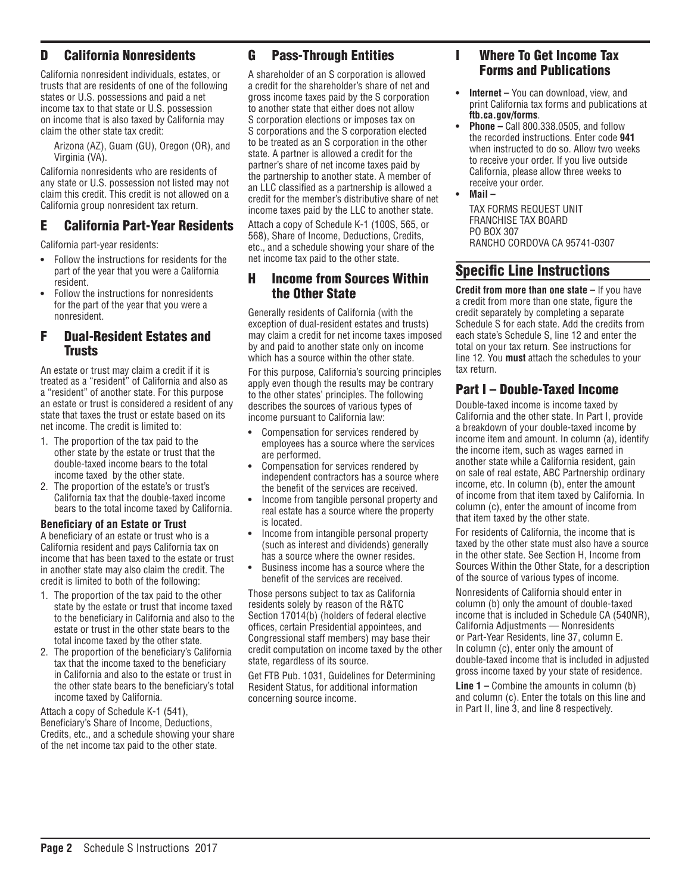## D California Nonresidents

California nonresident individuals, estates, or trusts that are residents of one of the following states or U.S. possessions and paid a net income tax to that state or U.S. possession on income that is also taxed by California may claim the other state tax credit:

Arizona (AZ), Guam (GU), Oregon (OR), and Virginia (VA).

California nonresidents who are residents of any state or U.S. possession not listed may not claim this credit. This credit is not allowed on a California group nonresident tax return.

#### E California Part-Year Residents

California part-year residents:

- **•** Follow the instructions for residents for the part of the year that you were a California resident.
- **•** Follow the instructions for nonresidents for the part of the year that you were a nonresident.

#### F Dual-Resident Estates and Trusts

An estate or trust may claim a credit if it is treated as a "resident" of California and also as a "resident" of another state. For this purpose an estate or trust is considered a resident of any state that taxes the trust or estate based on its net income. The credit is limited to:

- 1. The proportion of the tax paid to the other state by the estate or trust that the double-taxed income bears to the total income taxed by the other state.
- 2. The proportion of the estate's or trust's California tax that the double-taxed income bears to the total income taxed by California.

#### **Beneficiary of an Estate or Trust**

A beneficiary of an estate or trust who is a California resident and pays California tax on income that has been taxed to the estate or trust in another state may also claim the credit. The credit is limited to both of the following:

- 1. The proportion of the tax paid to the other state by the estate or trust that income taxed to the beneficiary in California and also to the estate or trust in the other state bears to the total income taxed by the other state.
- 2. The proportion of the beneficiary's California tax that the income taxed to the beneficiary in California and also to the estate or trust in the other state bears to the beneficiary's total income taxed by California.

Attach a copy of Schedule K-1 (541), Beneficiary's Share of Income, Deductions, Credits, etc., and a schedule showing your share of the net income tax paid to the other state.

## G Pass-Through Entities

A shareholder of an S corporation is allowed a credit for the shareholder's share of net and gross income taxes paid by the S corporation to another state that either does not allow S corporation elections or imposes tax on S corporations and the S corporation elected to be treated as an S corporation in the other state. A partner is allowed a credit for the partner's share of net income taxes paid by the partnership to another state. A member of an LLC classified as a partnership is allowed a credit for the member's distributive share of net income taxes paid by the LLC to another state.

Attach a copy of Schedule K-1 (100S, 565, or 568), Share of Income, Deductions, Credits, etc., and a schedule showing your share of the net income tax paid to the other state.

#### H Income from Sources Within the Other State

Generally residents of California (with the exception of dual-resident estates and trusts) may claim a credit for net income taxes imposed by and paid to another state only on income which has a source within the other state.

For this purpose, California's sourcing principles apply even though the results may be contrary to the other states' principles. The following describes the sources of various types of income pursuant to California law:

- **•** Compensation for services rendered by employees has a source where the services are performed.
- **•** Compensation for services rendered by independent contractors has a source where the benefit of the services are received.
- **•** Income from tangible personal property and real estate has a source where the property is located.
- **•** Income from intangible personal property (such as interest and dividends) generally has a source where the owner resides.
- **•** Business income has a source where the benefit of the services are received.

Those persons subject to tax as California residents solely by reason of the R&TC Section 17014(b) (holders of federal elective offices, certain Presidential appointees, and Congressional staff members) may base their credit computation on income taxed by the other state, regardless of its source.

Get FTB Pub. 1031, Guidelines for Determining Resident Status, for additional information concerning source income.

## I Where To Get Income Tax Forms and Publications

- **• Internet** You can download, view, and print California tax forms and publications at **ftb.ca.gov/forms**.
- **• Phone** Call 800.338.0505, and follow the recorded instructions. Enter code **941** when instructed to do so. Allow two weeks to receive your order. If you live outside California, please allow three weeks to receive your order.
- **• Mail**

TAX FORMS REQUEST UNIT FRANCHISE TAX BOARD PO BOX 307 RANCHO CORDOVA CA 95741-0307

## Specific Line Instructions

**Credit from more than one state –** If you have a credit from more than one state, figure the credit separately by completing a separate Schedule S for each state. Add the credits from each state's Schedule S, line 12 and enter the total on your tax return. See instructions for line 12. You **must** attach the schedules to your tax return.

## Part I – Double-Taxed Income

Double-taxed income is income taxed by California and the other state. In Part I, provide a breakdown of your double-taxed income by income item and amount. In column (a), identify the income item, such as wages earned in another state while a California resident, gain on sale of real estate, ABC Partnership ordinary income, etc. In column (b), enter the amount of income from that item taxed by California. In column (c), enter the amount of income from that item taxed by the other state.

For residents of California, the income that is taxed by the other state must also have a source in the other state. See Section H, Income from Sources Within the Other State, for a description of the source of various types of income.

Nonresidents of California should enter in column (b) only the amount of double-taxed income that is included in Schedule CA (540NR), California Adjustments — Nonresidents or Part-Year Residents, line 37, column E. In column (c), enter only the amount of double-taxed income that is included in adjusted gross income taxed by your state of residence.

**Line 1 –** Combine the amounts in column (b) and column (c). Enter the totals on this line and in Part II, line 3, and line 8 respectively.